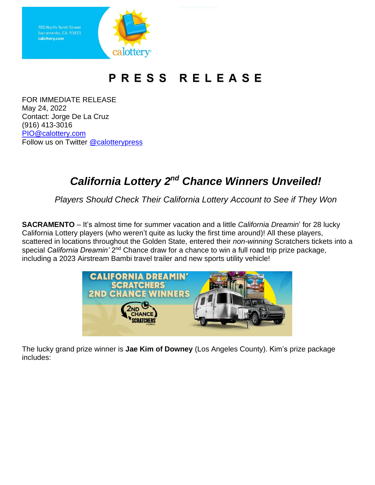

## PRESS RELEASE

FOR IMMEDIATE RELEASE May 24, 2022 Contact: Jorge De La Cruz (916) 413-3016 [PIO@calottery.com](mailto:PIO@calottery.com) Follow us on Twitter [@calotterypress](https://twitter.com/calotterypress)

## **California Lottery 2<sup>nd</sup> Chance Winners Unveiled!**

*Players Should Check Their California Lottery Account to See if They Won*

**SACRAMENTO** – It's almost time for summer vacation and a little *California Dreamin*' for 28 lucky California Lottery players (who weren't quite as lucky the first time around)! All these players, scattered in locations throughout the Golden State, entered their *non-winning* Scratchers tickets into a special *California Dreamin'* 2<sup>nd</sup> Chance draw for a chance to win a full road trip prize package, including a 2023 Airstream Bambi travel trailer and new sports utility vehicle!



The lucky grand prize winner is **Jae Kim of Downey** (Los Angeles County). Kim's prize package includes: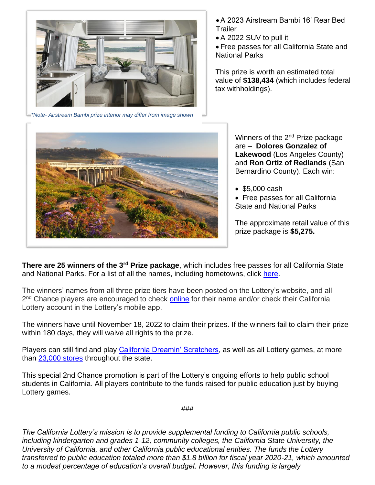

*\*Note- Airstream Bambi prize interior may differ from image shown*

•A 2023 Airstream Bambi 16' Rear Bed **Trailer** 

• A 2022 SUV to pull it

• Free passes for all California State and National Parks

This prize is worth an estimated total value of **\$138,434** (which includes federal tax withholdings).



Winners of the 2<sup>nd</sup> Prize package are – **Dolores Gonzalez of Lakewood** (Los Angeles County) and **Ron Ortiz of Redlands** (San Bernardino County). Each win:

• \$5,000 cash

• Free passes for all California State and National Parks

The approximate retail value of this prize package is **\$5,275.**

**There are 25 winners of the 3rd Prize package**, which includes free passes for all California State and National Parks. For a list of all the names, including hometowns, click [here.](https://www.calottery.com/promotions)

The winners' names from all three prize tiers have been posted on the Lottery's website, and all 2<sup>nd</sup> Chance players are encouraged to check **[online](https://www.calottery.com/promotions)** for their name and/or check their California Lottery account in the Lottery's mobile app.

The winners have until November 18, 2022 to claim their prizes. If the winners fail to claim their prize within 180 days, they will waive all rights to the prize.

Players can still find and play [California Dreamin' Scratchers,](https://www.calottery.com/scratchers/$10/california-dreamin-1508) as well as all Lottery games, at more than [23,000 stores](https://www.calottery.com/where-to-play) throughout the state.

This special 2nd Chance promotion is part of the Lottery's ongoing efforts to help public school students in California. All players contribute to the funds raised for public education just by buying Lottery games.

###

*The California Lottery's mission is to provide supplemental funding to California public schools, including kindergarten and grades 1-12, community colleges, the California State University, the University of California, and other California public educational entities. The funds the Lottery transferred to public education totaled more than \$1.8 billion for fiscal year 2020-21, which amounted to a modest percentage of education's overall budget. However, this funding is largely*